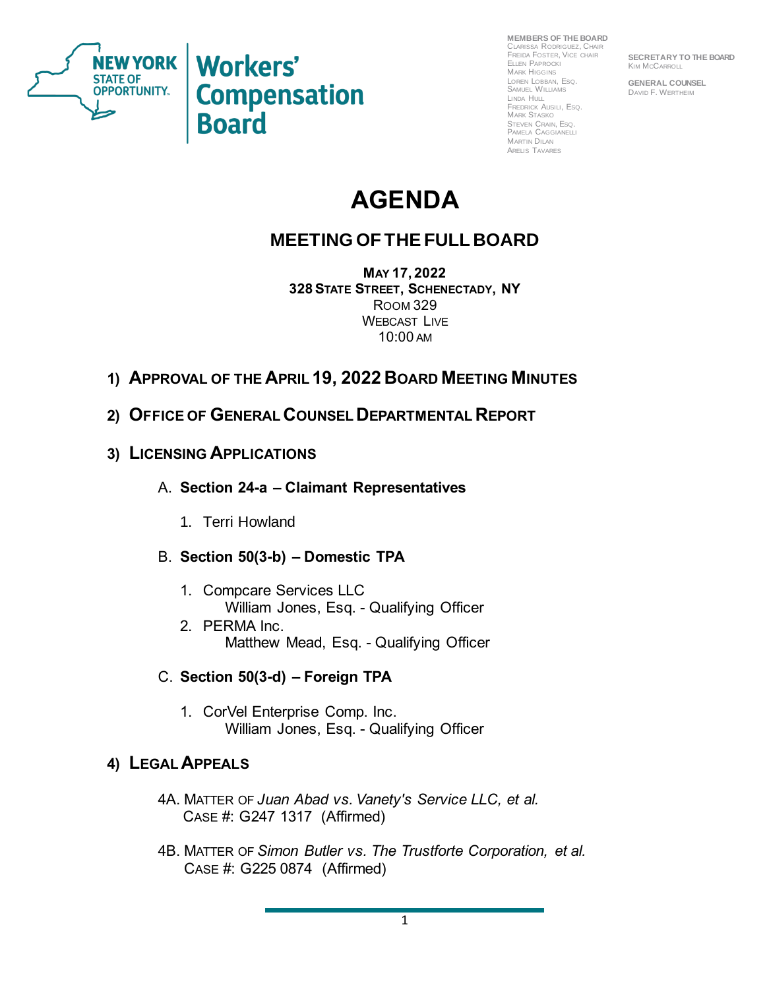

NEW YORK Workers' **Compensation Board** 

**MEMBERS OF THE BOARD** CLARISSA RODRIGUEZ, CHAIR FREIDA FOSTER, VICE CHAIR ELLEN PAPROCKI MARK HIGGINS LOREN LOBBAN, ESQ. SAMUEL WILLIAMS LINDA HULL FREDRICK AUSILI, ESQ. MARK STASKO STEVEN CRAIN, ESQ. PAMELA CAGGIANELLI MARTIN DILAN ARELIS TAVARES

**SECRETARY TO THE BOARD KIM MCCARROLL** 

**GENERAL COUNSEL** DAVID F. WERTHEIM

# **AGENDA**

# **MEETING OF THE FULL BOARD**

**MAY 17, 2022 328STATE STREET, SCHENECTADY, NY** ROOM 329 WEBCAST LIVE 10:00 AM

- **1) APPROVAL OF THE APRIL 19, 2022 BOARD MEETING MINUTES**
- **2) OFFICE OF GENERAL COUNSEL DEPARTMENTAL REPORT**
- **3) LICENSING APPLICATIONS**
	- A. **Section 24-a – Claimant Representatives** 
		- 1. Terri Howland
	- B. **Section 50(3-b) – Domestic TPA**
		- 1. Compcare Services LLC William Jones, Esq. - Qualifying Officer
		- 2. PERMA Inc. Matthew Mead, Esq. - Qualifying Officer
	- C. **Section 50(3-d) – Foreign TPA**
		- 1. CorVel Enterprise Comp. Inc. William Jones, Esq. - Qualifying Officer

## **4) LEGAL APPEALS**

- 4A. MATTER OF *Juan Abad vs. Vanety's Service LLC, et al.* CASE #: G247 1317 (Affirmed)
- 4B. MATTER OF *Simon Butler vs. The Trustforte Corporation, et al.* CASE #: G225 0874 (Affirmed)